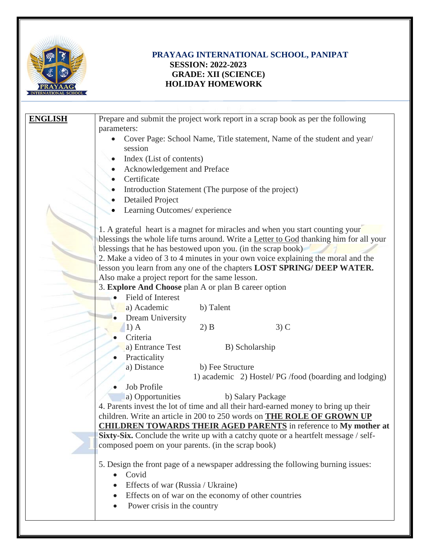

## **PRAYAAG INTERNATIONAL SCHOOL, PANIPAT SESSION: 2022-2023 GRADE: XII (SCIENCE) HOLIDAY HOMEWORK**

| <b>ENGLISH</b> | Prepare and submit the project work report in a scrap book as per the following               |
|----------------|-----------------------------------------------------------------------------------------------|
|                | parameters:                                                                                   |
|                | Cover Page: School Name, Title statement, Name of the student and year/                       |
|                | session                                                                                       |
|                | Index (List of contents)                                                                      |
|                | Acknowledgement and Preface                                                                   |
|                | Certificate                                                                                   |
|                | Introduction Statement (The purpose of the project)                                           |
|                | <b>Detailed Project</b>                                                                       |
|                | Learning Outcomes/ experience                                                                 |
|                |                                                                                               |
|                | 1. A grateful heart is a magnet for miracles and when you start counting your                 |
|                | blessings the whole life turns around. Write a <b>Letter to God</b> thanking him for all your |
|                | blessings that he has bestowed upon you. (in the scrap book)                                  |
|                | 2. Make a video of 3 to 4 minutes in your own voice explaining the moral and the              |
|                | lesson you learn from any one of the chapters LOST SPRING/ DEEP WATER.                        |
|                | Also make a project report for the same lesson.                                               |
|                | 3. Explore And Choose plan A or plan B career option                                          |
|                | Field of Interest                                                                             |
|                | a) Academic<br>b) Talent                                                                      |
|                | Dream University                                                                              |
|                | $3)$ C<br>$1)$ A<br>$2)$ B                                                                    |
|                | Criteria                                                                                      |
|                | a) Entrance Test<br>B) Scholarship                                                            |
|                | Practicality                                                                                  |
|                | a) Distance<br>b) Fee Structure                                                               |
|                | 1) academic 2) Hostel/PG /food (boarding and lodging)                                         |
|                | Job Profile                                                                                   |
|                | a) Opportunities<br>b) Salary Package                                                         |
|                | 4. Parents invest the lot of time and all their hard-earned money to bring up their           |
|                | children. Write an article in 200 to 250 words on <b>THE ROLE OF GROWN UP</b>                 |
|                | <b>CHILDREN TOWARDS THEIR AGED PARENTS</b> in reference to My mother at                       |
|                | Sixty-Six. Conclude the write up with a catchy quote or a heartfelt message / self-           |
|                | composed poem on your parents. (in the scrap book)                                            |
|                |                                                                                               |
|                | 5. Design the front page of a newspaper addressing the following burning issues:              |
|                | Covid                                                                                         |
|                | Effects of war (Russia / Ukraine)                                                             |
|                | Effects on of war on the economy of other countries                                           |
|                | Power crisis in the country                                                                   |
|                |                                                                                               |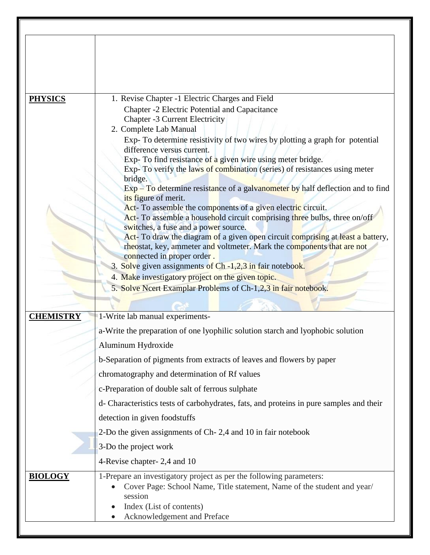| <b>PHYSICS</b>   | 1. Revise Chapter -1 Electric Charges and Field                                                                   |
|------------------|-------------------------------------------------------------------------------------------------------------------|
|                  | Chapter -2 Electric Potential and Capacitance<br><b>Chapter -3 Current Electricity</b>                            |
|                  | 2. Complete Lab Manual                                                                                            |
|                  | Exp-To determine resistivity of two wires by plotting a graph for potential                                       |
|                  | difference versus current.<br>Exp-To find resistance of a given wire using meter bridge.                          |
|                  | Exp- To verify the laws of combination (series) of resistances using meter                                        |
|                  | bridge.<br>Exp – To determine resistance of a galvanometer by half deflection and to find                         |
|                  | its figure of merit.                                                                                              |
|                  | Act- To assemble the components of a given electric circuit.                                                      |
|                  | Act- To assemble a household circuit comprising three bulbs, three on/off<br>switches, a fuse and a power source. |
|                  | Act- To draw the diagram of a given open circuit comprising at least a battery,                                   |
|                  | rheostat, key, ammeter and voltmeter. Mark the components that are not<br>connected in proper order.              |
|                  | 3. Solve given assignments of Ch -1,2,3 in fair notebook.                                                         |
|                  | 4. Make investigatory project on the given topic.                                                                 |
|                  | 5. Solve Neert Examplar Problems of Ch-1,2,3 in fair notebook.                                                    |
|                  |                                                                                                                   |
| <b>CHEMISTRY</b> | 1-Write lab manual experiments-                                                                                   |
|                  | a-Write the preparation of one lyophilic solution starch and lyophobic solution                                   |
|                  | Aluminum Hydroxide                                                                                                |
|                  | b-Separation of pigments from extracts of leaves and flowers by paper                                             |
|                  | chromatography and determination of Rf values                                                                     |
|                  | c-Preparation of double salt of ferrous sulphate                                                                  |
|                  | d- Characteristics tests of carbohydrates, fats, and proteins in pure samples and their                           |
|                  | detection in given foodstuffs                                                                                     |
|                  | 2-Do the given assignments of Ch-2,4 and 10 in fair notebook                                                      |
|                  | 3-Do the project work                                                                                             |
|                  | 4-Revise chapter-2,4 and 10                                                                                       |
| <b>BIOLOGY</b>   | 1-Prepare an investigatory project as per the following parameters:                                               |
|                  | Cover Page: School Name, Title statement, Name of the student and year/                                           |
|                  | session<br>Index (List of contents)                                                                               |
|                  | Acknowledgement and Preface                                                                                       |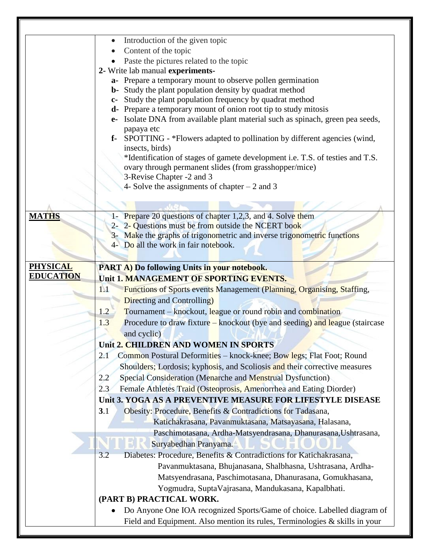|                                     | Introduction of the given topic                                                                                                                        |
|-------------------------------------|--------------------------------------------------------------------------------------------------------------------------------------------------------|
|                                     | Content of the topic                                                                                                                                   |
|                                     | Paste the pictures related to the topic                                                                                                                |
|                                     | 2- Write lab manual experiments-                                                                                                                       |
|                                     | a- Prepare a temporary mount to observe pollen germination                                                                                             |
|                                     | b- Study the plant population density by quadrat method                                                                                                |
|                                     | Study the plant population frequency by quadrat method<br>$c-$                                                                                         |
|                                     | d- Prepare a temporary mount of onion root tip to study mitosis<br>Isolate DNA from available plant material such as spinach, green pea seeds,<br>$e-$ |
|                                     | papaya etc                                                                                                                                             |
|                                     | <b>f-</b> SPOTTING - *Flowers adapted to pollination by different agencies (wind,                                                                      |
|                                     | insects, birds)                                                                                                                                        |
|                                     | *Identification of stages of gamete development i.e. T.S. of testies and T.S.                                                                          |
|                                     | ovary through permanent slides (from grasshopper/mice)                                                                                                 |
|                                     | 3-Revise Chapter -2 and 3                                                                                                                              |
|                                     | 4- Solve the assignments of chapter $-2$ and 3                                                                                                         |
|                                     |                                                                                                                                                        |
|                                     |                                                                                                                                                        |
| <b>MATHS</b>                        | 1- Prepare 20 questions of chapter 1,2,3, and 4. Solve them                                                                                            |
|                                     | 2- 2- Questions must be from outside the NCERT book                                                                                                    |
|                                     | 3- Make the graphs of trigonometric and inverse trigonometric functions                                                                                |
|                                     | 4- Do all the work in fair notebook.                                                                                                                   |
|                                     |                                                                                                                                                        |
| <b>PHYSICAL</b><br><b>EDUCATION</b> | PART A) Do following Units in your notebook.                                                                                                           |
|                                     | Unit 1. MANAGEMENT OF SPORTING EVENTS.                                                                                                                 |
|                                     | <b>Functions of Sports events Management (Planning, Organising, Staffing,</b><br>1.1                                                                   |
|                                     | <b>Directing and Controlling</b> )                                                                                                                     |
|                                     | 1.2<br>Tournament – knockout, league or round robin and combination                                                                                    |
|                                     | Procedure to draw fixture – knockout (bye and seeding) and league (staircase<br>1.3                                                                    |
|                                     | and cyclic)                                                                                                                                            |
|                                     | Unit 2. CHILDREN AND WOMEN IN SPORTS                                                                                                                   |
|                                     | Common Postural Deformities – knock-knee; Bow legs; Flat Foot; Round<br>2.1                                                                            |
|                                     | Shoulders; Lordosis; kyphosis, and Scoliosis and their corrective measures                                                                             |
|                                     | 2.2<br>Special Consideration (Menarche and Menstrual Dysfunction)                                                                                      |
|                                     | Female Athletes Traid (Osteoprosis, Amenorrhea and Eating Diorder)<br>2.3                                                                              |
|                                     | Unit 3. YOGA AS A PREVENTIVE MEASURE FOR LIFESTYLE DISEASE                                                                                             |
|                                     | 3.1<br>Obesity: Procedure, Benefits & Contradictions for Tadasana,                                                                                     |
|                                     | Katichakrasana, Pavanmuktasana, Matsayasana, Halasana,                                                                                                 |
|                                     | Paschimotasana, Ardha-Matsyendrasana, Dhanurasana, Ushtrasana,                                                                                         |
|                                     | Suryabedhan Pranyama.                                                                                                                                  |
|                                     | 3.2<br>Diabetes: Procedure, Benefits & Contradictions for Katichakrasana,                                                                              |
|                                     | Pavanmuktasana, Bhujanasana, Shalbhasna, Ushtrasana, Ardha-                                                                                            |
|                                     |                                                                                                                                                        |
|                                     |                                                                                                                                                        |
|                                     | Matsyendrasana, Paschimotasana, Dhanurasana, Gomukhasana,                                                                                              |
|                                     | Yogmudra, SuptaVajrasana, Mandukasana, Kapalbhati.                                                                                                     |
|                                     | (PART B) PRACTICAL WORK.                                                                                                                               |
|                                     | Do Anyone One IOA recognized Sports/Game of choice. Labelled diagram of<br>Field and Equipment. Also mention its rules, Terminologies & skills in your |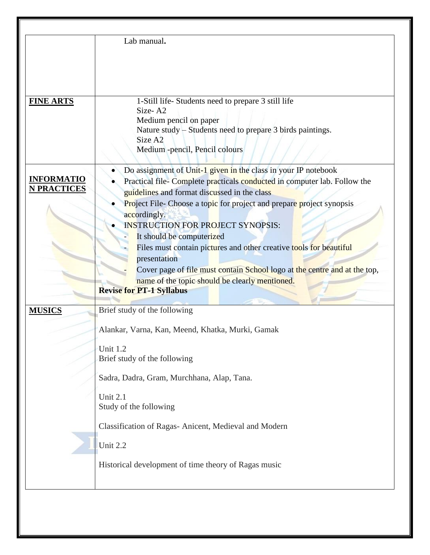|                                         | Lab manual.                                                                                                                                                                                                                                                                                                                                                                                                                                                                                                                                                                                                         |
|-----------------------------------------|---------------------------------------------------------------------------------------------------------------------------------------------------------------------------------------------------------------------------------------------------------------------------------------------------------------------------------------------------------------------------------------------------------------------------------------------------------------------------------------------------------------------------------------------------------------------------------------------------------------------|
| <b>FINE ARTS</b>                        | 1-Still life-Students need to prepare 3 still life<br>Size-A2<br>Medium pencil on paper<br>Nature study – Students need to prepare 3 birds paintings.<br>Size A <sub>2</sub><br>Medium -pencil, Pencil colours                                                                                                                                                                                                                                                                                                                                                                                                      |
| <b>INFORMATIO</b><br><b>N PRACTICES</b> | Do assignment of Unit-1 given in the class in your IP notebook<br>Practical file-Complete practicals conducted in computer lab. Follow the<br>guidelines and format discussed in the class<br>Project File-Choose a topic for project and prepare project synopsis<br>accordingly.<br><b>INSTRUCTION FOR PROJECT SYNOPSIS:</b><br>It should be computerized<br>Files must contain pictures and other creative tools for beautiful<br>presentation<br>Cover page of file must contain School logo at the centre and at the top,<br>name of the topic should be clearly mentioned.<br><b>Revise for PT-1 Syllabus</b> |
| <b>MUSICS</b>                           | Brief study of the following<br>Alankar, Varna, Kan, Meend, Khatka, Murki, Gamak<br>Unit 1.2<br>Brief study of the following<br>Sadra, Dadra, Gram, Murchhana, Alap, Tana.<br>Unit 2.1<br>Study of the following<br>Classification of Ragas- Anicent, Medieval and Modern<br>Unit 2.2<br>Historical development of time theory of Ragas music                                                                                                                                                                                                                                                                       |